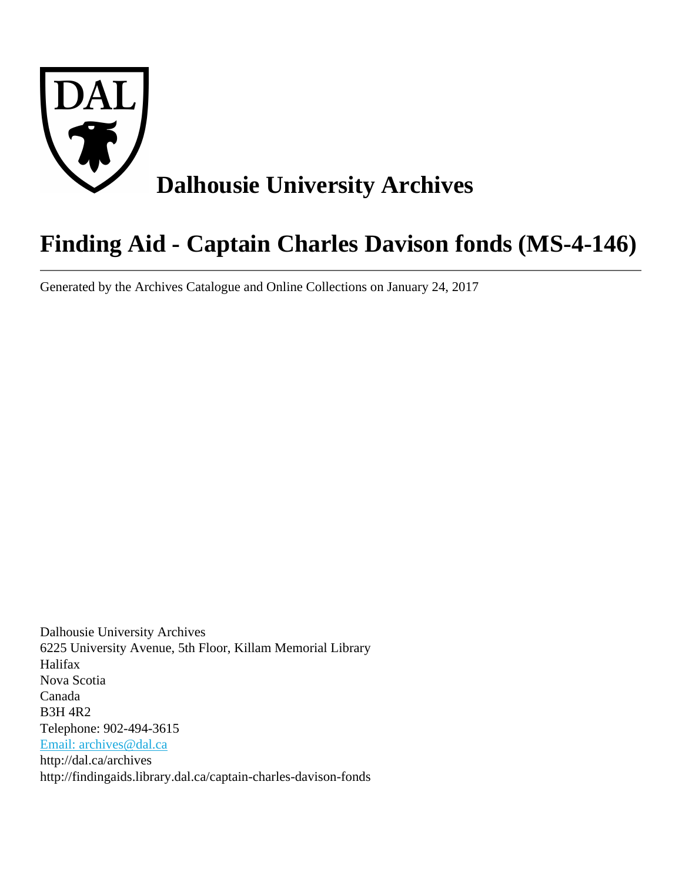

# **Finding Aid - Captain Charles Davison fonds (MS-4-146)**

Generated by the Archives Catalogue and Online Collections on January 24, 2017

Dalhousie University Archives 6225 University Avenue, 5th Floor, Killam Memorial Library Halifax Nova Scotia Canada B3H 4R2 Telephone: 902-494-3615 [Email: archives@dal.ca](mailto:Email: archives@dal.ca) http://dal.ca/archives http://findingaids.library.dal.ca/captain-charles-davison-fonds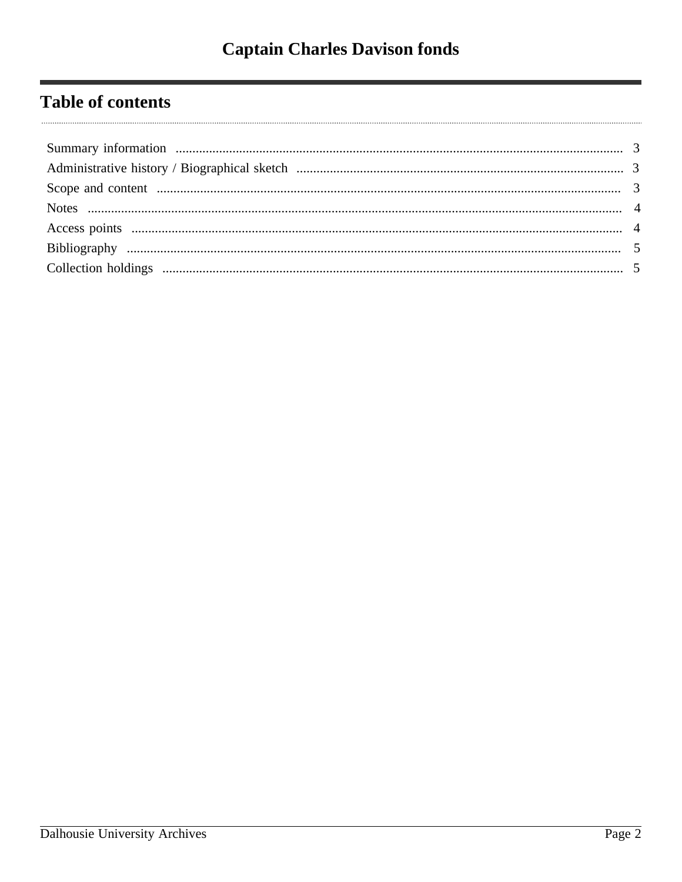# **Table of contents**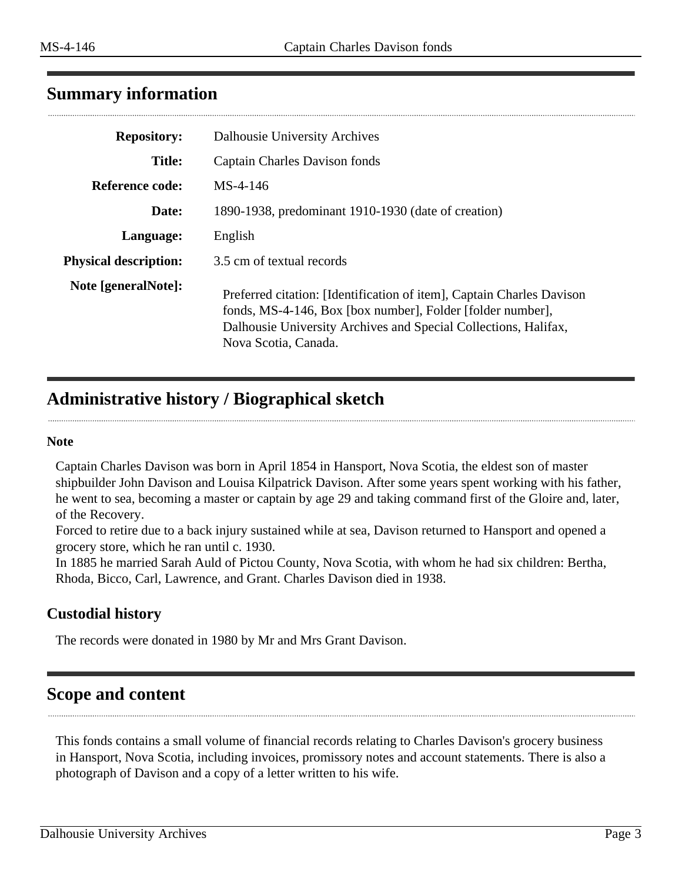# <span id="page-2-0"></span>**Summary information**

| <b>Repository:</b>           | Dalhousie University Archives                                                                                                                                                                                                  |
|------------------------------|--------------------------------------------------------------------------------------------------------------------------------------------------------------------------------------------------------------------------------|
| <b>Title:</b>                | Captain Charles Davison fonds                                                                                                                                                                                                  |
| <b>Reference code:</b>       | $MS-4-146$                                                                                                                                                                                                                     |
| Date:                        | 1890-1938, predominant 1910-1930 (date of creation)                                                                                                                                                                            |
| Language:                    | English                                                                                                                                                                                                                        |
| <b>Physical description:</b> | 3.5 cm of textual records                                                                                                                                                                                                      |
| Note [generalNote]:          | Preferred citation: [Identification of item], Captain Charles Davison<br>fonds, MS-4-146, Box [box number], Folder [folder number],<br>Dalhousie University Archives and Special Collections, Halifax,<br>Nova Scotia, Canada. |

# <span id="page-2-1"></span>**Administrative history / Biographical sketch**

#### **Note**

Captain Charles Davison was born in April 1854 in Hansport, Nova Scotia, the eldest son of master shipbuilder John Davison and Louisa Kilpatrick Davison. After some years spent working with his father, he went to sea, becoming a master or captain by age 29 and taking command first of the Gloire and, later, of the Recovery.

Forced to retire due to a back injury sustained while at sea, Davison returned to Hansport and opened a grocery store, which he ran until c. 1930.

In 1885 he married Sarah Auld of Pictou County, Nova Scotia, with whom he had six children: Bertha, Rhoda, Bicco, Carl, Lawrence, and Grant. Charles Davison died in 1938.

### **Custodial history**

The records were donated in 1980 by Mr and Mrs Grant Davison.

# <span id="page-2-2"></span>**Scope and content**

This fonds contains a small volume of financial records relating to Charles Davison's grocery business in Hansport, Nova Scotia, including invoices, promissory notes and account statements. There is also a photograph of Davison and a copy of a letter written to his wife.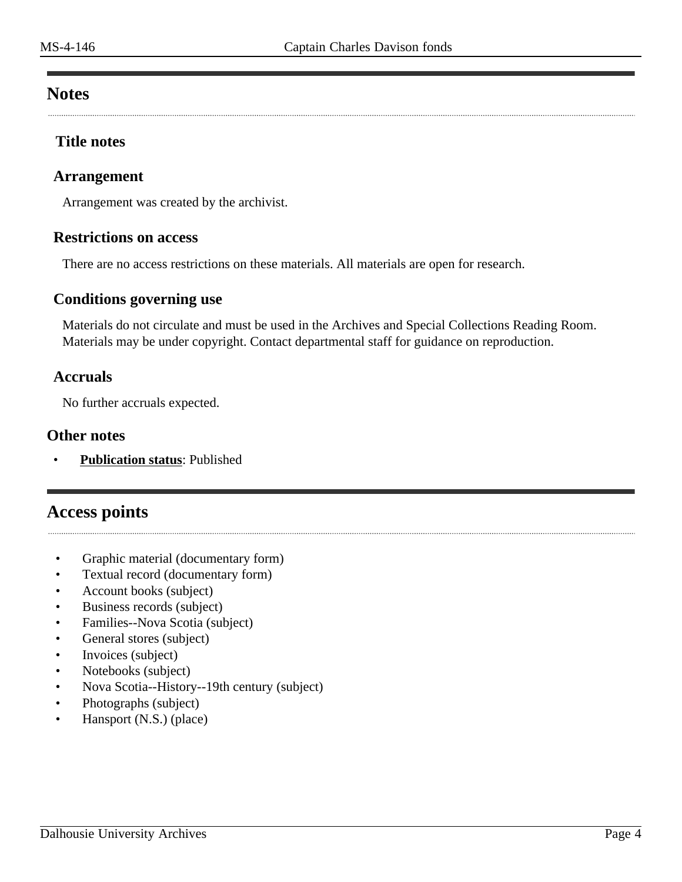### <span id="page-3-0"></span>**Notes**

### **Title notes**

### **Arrangement**

Arrangement was created by the archivist.

### **Restrictions on access**

There are no access restrictions on these materials. All materials are open for research.

### **Conditions governing use**

Materials do not circulate and must be used in the Archives and Special Collections Reading Room. Materials may be under copyright. Contact departmental staff for guidance on reproduction.

### **Accruals**

No further accruals expected.

#### **Other notes**

• **Publication status**: Published

# <span id="page-3-1"></span>**Access points**

- Graphic material (documentary form)
- Textual record (documentary form)
- Account books (subject)
- Business records (subject)
- Families--Nova Scotia (subject)
- General stores (subject)
- Invoices (subject)
- Notebooks (subject)
- Nova Scotia--History--19th century (subject)
- Photographs (subject)
- Hansport (N.S.) (place)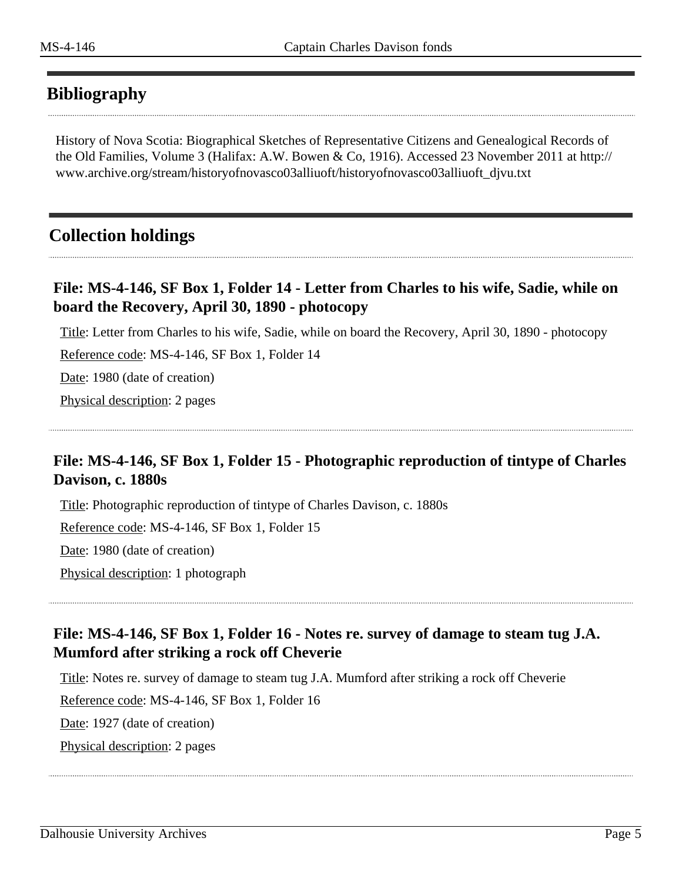# <span id="page-4-0"></span>**Bibliography**

History of Nova Scotia: Biographical Sketches of Representative Citizens and Genealogical Records of the Old Families, Volume 3 (Halifax: A.W. Bowen & Co, 1916). Accessed 23 November 2011 at http:// www.archive.org/stream/historyofnovasco03alliuoft/historyofnovasco03alliuoft\_djvu.txt

# <span id="page-4-1"></span>**Collection holdings**

### **File: MS-4-146, SF Box 1, Folder 14 - Letter from Charles to his wife, Sadie, while on board the Recovery, April 30, 1890 - photocopy**

Title: Letter from Charles to his wife, Sadie, while on board the Recovery, April 30, 1890 - photocopy

Reference code: MS-4-146, SF Box 1, Folder 14

Date: 1980 (date of creation)

Physical description: 2 pages

# **File: MS-4-146, SF Box 1, Folder 15 - Photographic reproduction of tintype of Charles Davison, c. 1880s**

Title: Photographic reproduction of tintype of Charles Davison, c. 1880s Reference code: MS-4-146, SF Box 1, Folder 15 Date: 1980 (date of creation) Physical description: 1 photograph

# **File: MS-4-146, SF Box 1, Folder 16 - Notes re. survey of damage to steam tug J.A. Mumford after striking a rock off Cheverie**

Title: Notes re. survey of damage to steam tug J.A. Mumford after striking a rock off Cheverie

Reference code: MS-4-146, SF Box 1, Folder 16

Date: 1927 (date of creation)

Physical description: 2 pages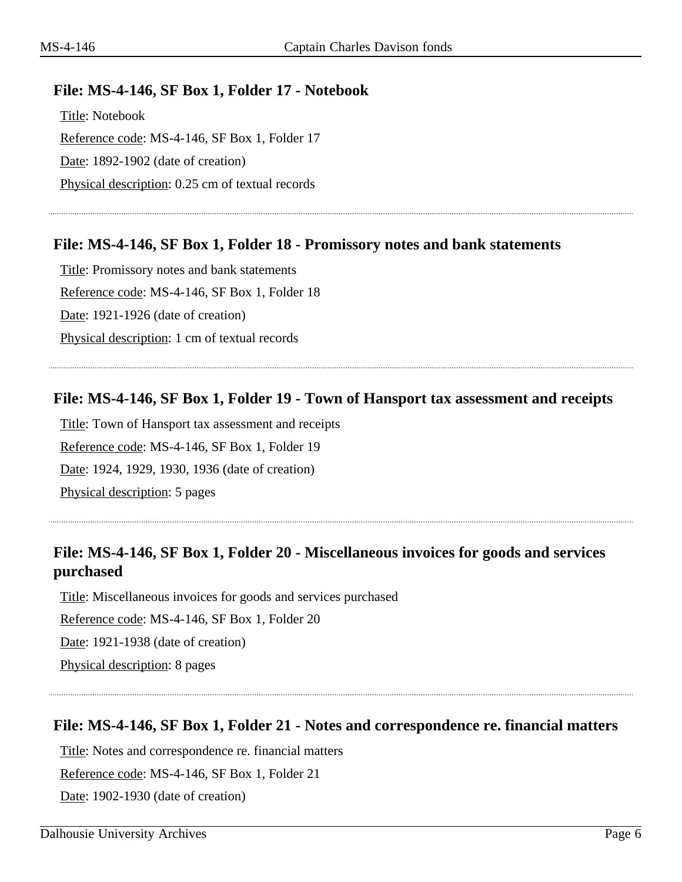### **File: MS-4-146, SF Box 1, Folder 17 - Notebook**

Title: Notebook Reference code: MS-4-146, SF Box 1, Folder 17 Date: 1892-1902 (date of creation) Physical description: 0.25 cm of textual records

### **File: MS-4-146, SF Box 1, Folder 18 - Promissory notes and bank statements**

Title: Promissory notes and bank statements Reference code: MS-4-146, SF Box 1, Folder 18 Date: 1921-1926 (date of creation) Physical description: 1 cm of textual records

### **File: MS-4-146, SF Box 1, Folder 19 - Town of Hansport tax assessment and receipts**

Title: Town of Hansport tax assessment and receipts Reference code: MS-4-146, SF Box 1, Folder 19 Date: 1924, 1929, 1930, 1936 (date of creation) Physical description: 5 pages

# **File: MS-4-146, SF Box 1, Folder 20 - Miscellaneous invoices for goods and services purchased**

Title: Miscellaneous invoices for goods and services purchased Reference code: MS-4-146, SF Box 1, Folder 20 Date: 1921-1938 (date of creation) Physical description: 8 pages

### **File: MS-4-146, SF Box 1, Folder 21 - Notes and correspondence re. financial matters**

Title: Notes and correspondence re. financial matters

Reference code: MS-4-146, SF Box 1, Folder 21

Date: 1902-1930 (date of creation)